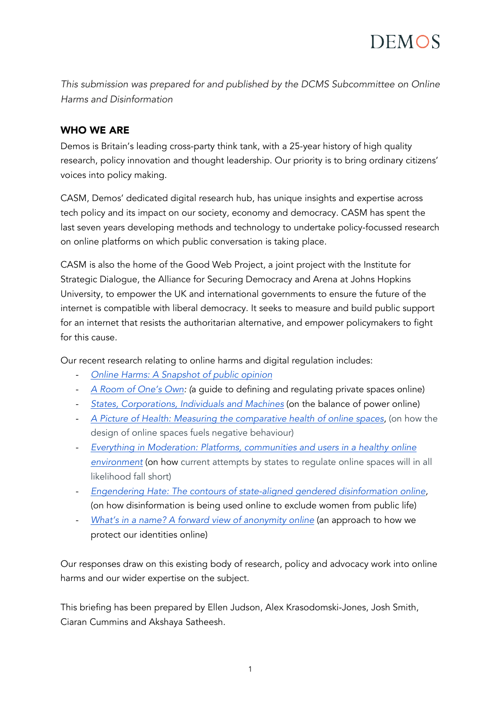*This submission was prepared for and published by the DCMS Subcommittee on Online Harms and Disinformation*

### WHO WE ARE

Demos is Britain's leading cross-party think tank, with a 25-year history of high quality research, policy innovation and thought leadership. Our priority is to bring ordinary citizens' voices into policy making.

CASM, Demos' dedicated digital research hub, has unique insights and expertise across tech policy and its impact on our society, economy and democracy. CASM has spent the last seven years developing methods and technology to undertake policy-focussed research on online platforms on which public conversation is taking place.

CASM is also the home of the Good Web Project, a joint project with the Institute for Strategic Dialogue, the Alliance for Securing Democracy and Arena at Johns Hopkins University, to empower the UK and international governments to ensure the future of the internet is compatible with liberal democracy. It seeks to measure and build public support for an internet that resists the authoritarian alternative, and empower policymakers to fight for this cause.

Our recent research relating to online harms and digital regulation includes:

- *[Online Harms: A Snapshot of public opinion](https://demos.co.uk/blog/online-harms-a-snapshot-of-public-opinion/)*
- *[A Room of One's Own:](https://demos.co.uk/project/a-room-of-ones-own-a-guide-to-private-spaces-online/) (*a guide to defining and regulating private spaces online)
- *[States, Corporations, Individuals and Machines](https://demos.co.uk/project/states-corporations-individuals-and-machines/)* (on the balance of power online)
- *[A Picture of Health: Measuring the comparative health of online spaces](https://demos.co.uk/project/a-picture-of-health-measuring-the-comparative-health-of-online-spaces/)*, (on how the design of online spaces fuels negative behaviour)
- *[Everything in Moderation: Platforms, communities and users in a healthy online](https://demos.co.uk/project/everything-in-moderation-platforms-communities-and-users-in-a-healthy-online-environment/)  [environment](https://demos.co.uk/project/everything-in-moderation-platforms-communities-and-users-in-a-healthy-online-environment/)* (on how current attempts by states to regulate online spaces will in all likelihood fall short)
- *[Engendering Hate: The contours of state-aligned gendered disinformation online,](https://demos.co.uk/project/engendering-hate-the-contours-of-state-aligned-gendered-disinformation-online/)*  (on how disinformation is being used online to exclude women from public life)
- *[What's in a name? A forward view of anonymity online](https://demos.co.uk/project/whats-in-a-name/)* (an approach to how we protect our identities online)

Our responses draw on this existing body of research, policy and advocacy work into online harms and our wider expertise on the subject.

This briefing has been prepared by Ellen Judson, Alex Krasodomski-Jones, Josh Smith, Ciaran Cummins and Akshaya Satheesh.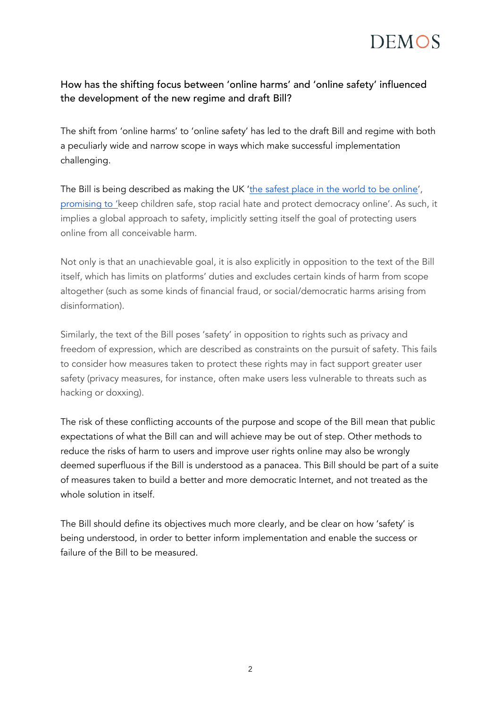

### How has the shifting focus between 'online harms' and 'online safety' influenced the development of the new regime and draft Bill?

The shift from 'online harms' to 'online safety' has led to the draft Bill and regime with both a peculiarly wide and narrow scope in ways which make successful implementation challenging.

The Bill is being described as making the UK ['the safest place in the world to be online'](https://www.gov.uk/government/publications/draft-online-safety-bill)[,](https://www.gov.uk/government/news/landmark-laws-to-keep-children-safe-stop-racial-hate-and-protect-democracy-online-published) [promising to 'k](https://www.gov.uk/government/news/landmark-laws-to-keep-children-safe-stop-racial-hate-and-protect-democracy-online-published)eep children safe, stop racial hate and protect democracy online'. As such, it implies a global approach to safety, implicitly setting itself the goal of protecting users online from all conceivable harm.

Not only is that an unachievable goal, it is also explicitly in opposition to the text of the Bill itself, which has limits on platforms' duties and excludes certain kinds of harm from scope altogether (such as some kinds of financial fraud, or social/democratic harms arising from disinformation).

Similarly, the text of the Bill poses 'safety' in opposition to rights such as privacy and freedom of expression, which are described as constraints on the pursuit of safety. This fails to consider how measures taken to protect these rights may in fact support greater user safety (privacy measures, for instance, often make users less vulnerable to threats such as hacking or doxxing).

The risk of these conflicting accounts of the purpose and scope of the Bill mean that public expectations of what the Bill can and will achieve may be out of step. Other methods to reduce the risks of harm to users and improve user rights online may also be wrongly deemed superfluous if the Bill is understood as a panacea. This Bill should be part of a suite of measures taken to build a better and more democratic Internet, and not treated as the whole solution in itself.

The Bill should define its objectives much more clearly, and be clear on how 'safety' is being understood, in order to better inform implementation and enable the success or failure of the Bill to be measured.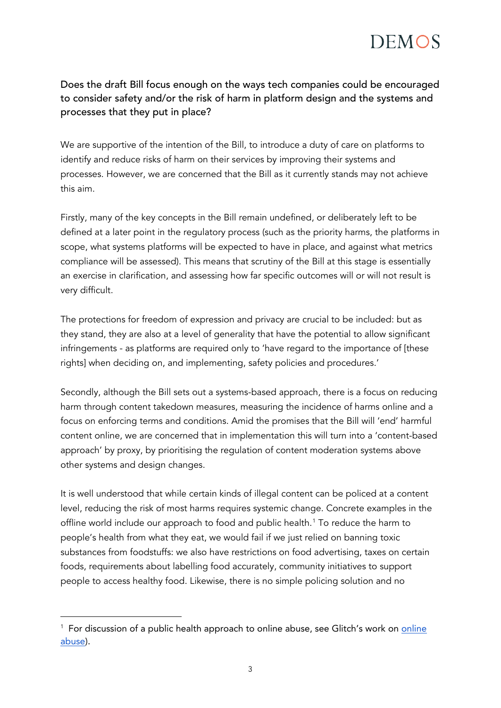### Does the draft Bill focus enough on the ways tech companies could be encouraged to consider safety and/or the risk of harm in platform design and the systems and processes that they put in place?

We are supportive of the intention of the Bill, to introduce a duty of care on platforms to identify and reduce risks of harm on their services by improving their systems and processes. However, we are concerned that the Bill as it currently stands may not achieve this aim.

Firstly, many of the key concepts in the Bill remain undefined, or deliberately left to be defined at a later point in the regulatory process (such as the priority harms, the platforms in scope, what systems platforms will be expected to have in place, and against what metrics compliance will be assessed). This means that scrutiny of the Bill at this stage is essentially an exercise in clarification, and assessing how far specific outcomes will or will not result is very difficult.

The protections for freedom of expression and privacy are crucial to be included: but as they stand, they are also at a level of generality that have the potential to allow significant infringements - as platforms are required only to 'have regard to the importance of [these rights] when deciding on, and implementing, safety policies and procedures.'

Secondly, although the Bill sets out a systems-based approach, there is a focus on reducing harm through content takedown measures, measuring the incidence of harms online and a focus on enforcing terms and conditions. Amid the promises that the Bill will 'end' harmful content online, we are concerned that in implementation this will turn into a 'content-based approach' by proxy, by prioritising the regulation of content moderation systems above other systems and design changes.

It is well understood that while certain kinds of illegal content can be policed at a content level, reducing the risk of most harms requires systemic change. Concrete examples in the offline world include our approach to food and public health.<sup>[1](#page-2-0)</sup> To reduce the harm to people's health from what they eat, we would fail if we just relied on banning toxic substances from foodstuffs: we also have restrictions on food advertising, taxes on certain foods, requirements about labelling food accurately, community initiatives to support people to access healthy food. Likewise, there is no simple policing solution and no

<span id="page-2-0"></span><sup>&</sup>lt;sup>1</sup> For discussion of a public health approach to [online](https://www.kcl.ac.uk/news/fixing-the-glitch) abuse, see Glitch's work on *online* [abuse\)](https://www.kcl.ac.uk/news/fixing-the-glitch).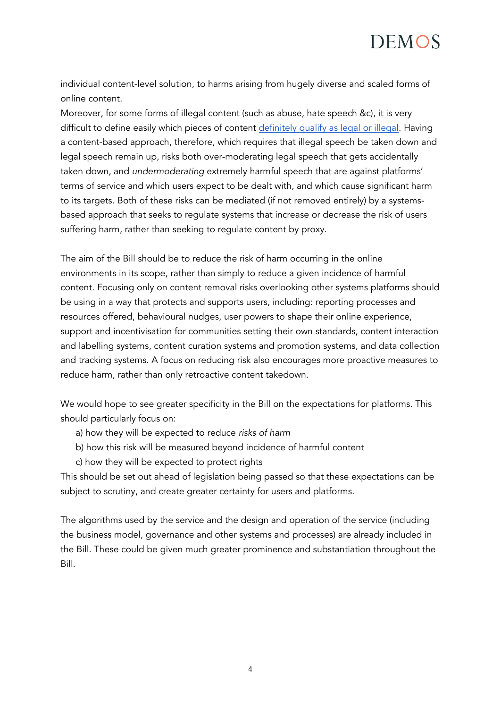

individual content-level solution, to harms arising from hugely diverse and scaled forms of online content.

Moreover, for some forms of illegal content (such as abuse, hate speech &c), it is very difficult to define easily which pieces of content [definitely qualify as legal or illegal.](https://www.politico.eu/article/germany-hate-speech-internet-netzdg-controversial-legislation/) Having a content-based approach, therefore, which requires that illegal speech be taken down and legal speech remain up, risks both over-moderating legal speech that gets accidentally taken down, and *undermoderating* extremely harmful speech that are against platforms' terms of service and which users expect to be dealt with, and which cause significant harm to its targets. Both of these risks can be mediated (if not removed entirely) by a systemsbased approach that seeks to regulate systems that increase or decrease the risk of users suffering harm, rather than seeking to regulate content by proxy.

The aim of the Bill should be to reduce the risk of harm occurring in the online environments in its scope, rather than simply to reduce a given incidence of harmful content. Focusing only on content removal risks overlooking other systems platforms should be using in a way that protects and supports users, including: reporting processes and resources offered, behavioural nudges, user powers to shape their online experience, support and incentivisation for communities setting their own standards, content interaction and labelling systems, content curation systems and promotion systems, and data collection and tracking systems. A focus on reducing risk also encourages more proactive measures to reduce harm, rather than only retroactive content takedown.

We would hope to see greater specificity in the Bill on the expectations for platforms. This should particularly focus on:

- a) how they will be expected to reduce *risks of harm*
- b) how this risk will be measured beyond incidence of harmful content
- c) how they will be expected to protect rights

This should be set out ahead of legislation being passed so that these expectations can be subject to scrutiny, and create greater certainty for users and platforms.

The algorithms used by the service and the design and operation of the service (including the business model, governance and other systems and processes) are already included in the Bill. These could be given much greater prominence and substantiation throughout the Bill.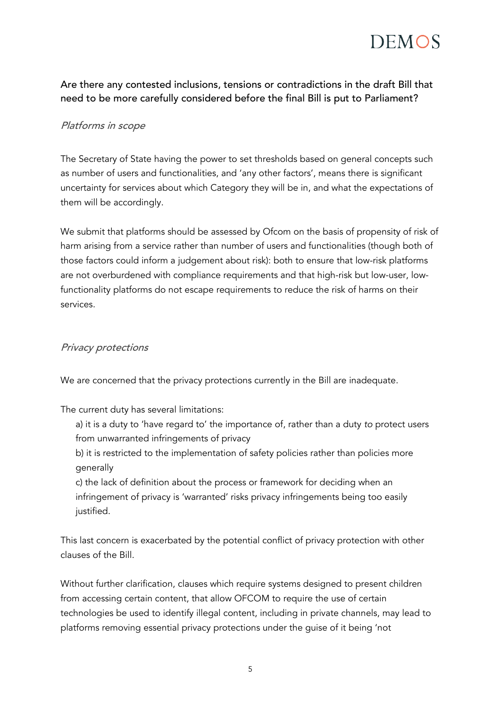

Are there any contested inclusions, tensions or contradictions in the draft Bill that need to be more carefully considered before the final Bill is put to Parliament?

#### Platforms in scope

The Secretary of State having the power to set thresholds based on general concepts such as number of users and functionalities, and 'any other factors', means there is significant uncertainty for services about which Category they will be in, and what the expectations of them will be accordingly.

We submit that platforms should be assessed by Ofcom on the basis of propensity of risk of harm arising from a service rather than number of users and functionalities (though both of those factors could inform a judgement about risk): both to ensure that low-risk platforms are not overburdened with compliance requirements and that high-risk but low-user, lowfunctionality platforms do not escape requirements to reduce the risk of harms on their services.

#### Privacy protections

We are concerned that the privacy protections currently in the Bill are inadequate.

The current duty has several limitations:

a) it is a duty to 'have regard to' the importance of, rather than a duty *to* protect users from unwarranted infringements of privacy

b) it is restricted to the implementation of safety policies rather than policies more generally

c) the lack of definition about the process or framework for deciding when an infringement of privacy is 'warranted' risks privacy infringements being too easily justified.

This last concern is exacerbated by the potential conflict of privacy protection with other clauses of the Bill.

Without further clarification, clauses which require systems designed to present children from accessing certain content, that allow OFCOM to require the use of certain technologies be used to identify illegal content, including in private channels, may lead to platforms removing essential privacy protections under the guise of it being 'not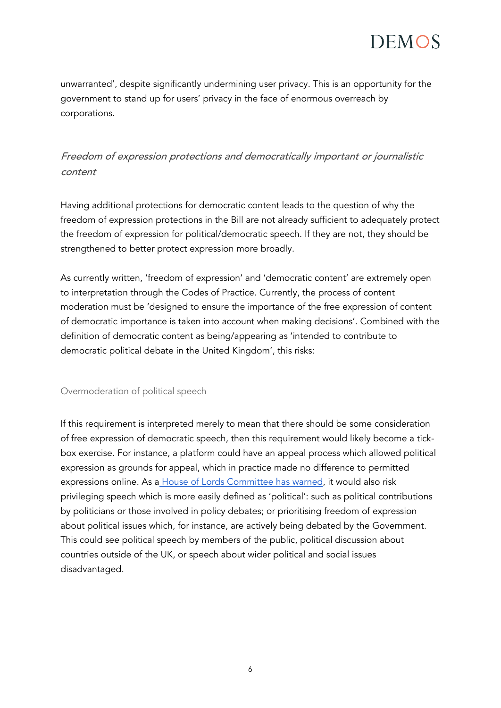

unwarranted', despite significantly undermining user privacy. This is an opportunity for the government to stand up for users' privacy in the face of enormous overreach by corporations.

## Freedom of expression protections and democratically important or journalistic content

Having additional protections for democratic content leads to the question of why the freedom of expression protections in the Bill are not already sufficient to adequately protect the freedom of expression for political/democratic speech. If they are not, they should be strengthened to better protect expression more broadly.

As currently written, 'freedom of expression' and 'democratic content' are extremely open to interpretation through the Codes of Practice. Currently, the process of content moderation must be 'designed to ensure the importance of the free expression of content of democratic importance is taken into account when making decisions'. Combined with the definition of democratic content as being/appearing as 'intended to contribute to democratic political debate in the United Kingdom', this risks:

#### Overmoderation of political speech

If this requirement is interpreted merely to mean that there should be some consideration of free expression of democratic speech, then this requirement would likely become a tickbox exercise. For instance, a platform could have an appeal process which allowed political expression as grounds for appeal, which in practice made no difference to permitted expressions online. As a [House of Lords Committee has warned,](https://committees.parliament.uk/publications/6878/documents/72529/default/) it would also risk privileging speech which is more easily defined as 'political': such as political contributions by politicians or those involved in policy debates; or prioritising freedom of expression about political issues which, for instance, are actively being debated by the Government. This could see political speech by members of the public, political discussion about countries outside of the UK, or speech about wider political and social issues disadvantaged.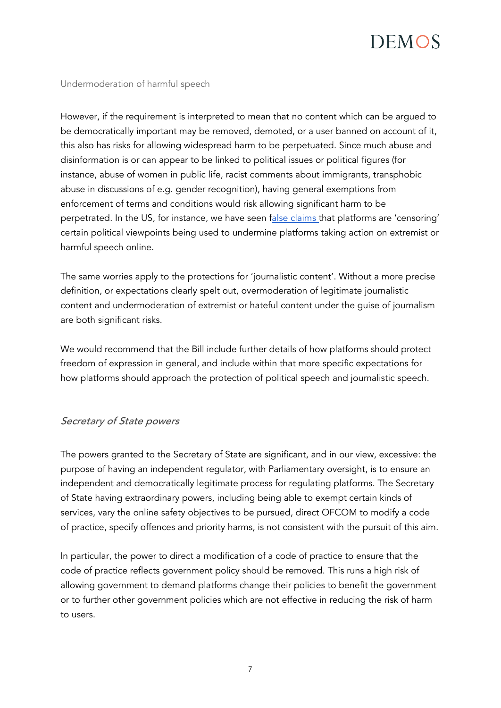#### Undermoderation of harmful speech

However, if the requirement is interpreted to mean that no content which can be argued to be democratically important may be removed, demoted, or a user banned on account of it, this also has risks for allowing widespread harm to be perpetuated. Since much abuse and disinformation is or can appear to be linked to political issues or political figures (for instance, abuse of women in public life, racist comments about immigrants, transphobic abuse in discussions of e.g. gender recognition), having general exemptions from enforcement of terms and conditions would risk allowing significant harm to be perpetrated. In the US, for instance, we have seen [false claims t](https://www.nbcnews.com/think/opinion/facebook-twitter-don-t-censor-conservatives-they-hire-promote-them-ncna1245308)hat platforms are 'censoring' certain political viewpoints being used to undermine platforms taking action on extremist or harmful speech online.

The same worries apply to the protections for 'journalistic content'. Without a more precise definition, or expectations clearly spelt out, overmoderation of legitimate journalistic content and undermoderation of extremist or hateful content under the guise of journalism are both significant risks.

We would recommend that the Bill include further details of how platforms should protect freedom of expression in general, and include within that more specific expectations for how platforms should approach the protection of political speech and journalistic speech.

### Secretary of State powers

The powers granted to the Secretary of State are significant, and in our view, excessive: the purpose of having an independent regulator, with Parliamentary oversight, is to ensure an independent and democratically legitimate process for regulating platforms. The Secretary of State having extraordinary powers, including being able to exempt certain kinds of services, vary the online safety objectives to be pursued, direct OFCOM to modify a code of practice, specify offences and priority harms, is not consistent with the pursuit of this aim.

In particular, the power to direct a modification of a code of practice to ensure that the code of practice reflects government policy should be removed. This runs a high risk of allowing government to demand platforms change their policies to benefit the government or to further other government policies which are not effective in reducing the risk of harm to users.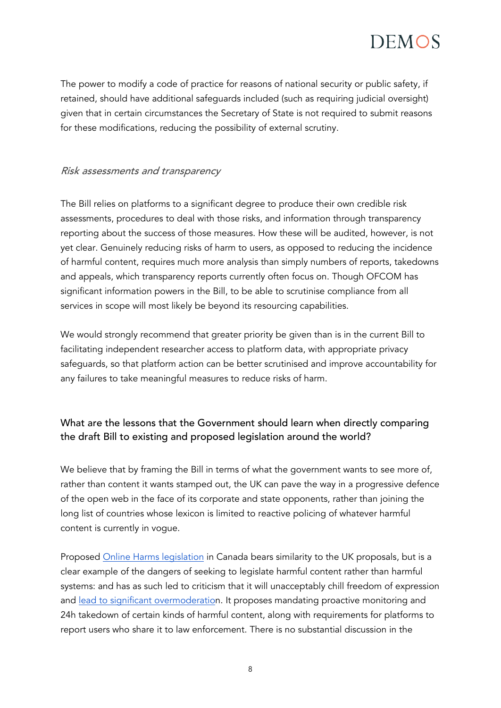The power to modify a code of practice for reasons of national security or public safety, if retained, should have additional safeguards included (such as requiring judicial oversight) given that in certain circumstances the Secretary of State is not required to submit reasons for these modifications, reducing the possibility of external scrutiny.

### Risk assessments and transparency

The Bill relies on platforms to a significant degree to produce their own credible risk assessments, procedures to deal with those risks, and information through transparency reporting about the success of those measures. How these will be audited, however, is not yet clear. Genuinely reducing risks of harm to users, as opposed to reducing the incidence of harmful content, requires much more analysis than simply numbers of reports, takedowns and appeals, which transparency reports currently often focus on. Though OFCOM has significant information powers in the Bill, to be able to scrutinise compliance from all services in scope will most likely be beyond its resourcing capabilities.

We would strongly recommend that greater priority be given than is in the current Bill to facilitating independent researcher access to platform data, with appropriate privacy safeguards, so that platform action can be better scrutinised and improve accountability for any failures to take meaningful measures to reduce risks of harm.

### What are the lessons that the Government should learn when directly comparing the draft Bill to existing and proposed legislation around the world?

We believe that by framing the Bill in terms of what the government wants to see more of, rather than content it wants stamped out, the UK can pave the way in a progressive defence of the open web in the face of its corporate and state opponents, rather than joining the long list of countries whose lexicon is limited to reactive policing of whatever harmful content is currently in vogue.

Proposed [Online Harms legislation](https://www.canada.ca/en/canadian-heritage/campaigns/harmful-online-content/technical-paper.html#a2) in Canada bears similarity to the UK proposals, but is a clear example of the dangers of seeking to legislate harmful content rather than harmful systems: and has as such led to criticism that it will unacceptably chill freedom of expression and [lead to significant overmoderation](https://www.michaelgeist.ca/2021/07/onlineharmsnonconsult/). It proposes mandating proactive monitoring and 24h takedown of certain kinds of harmful content, along with requirements for platforms to report users who share it to law enforcement. There is no substantial discussion in the